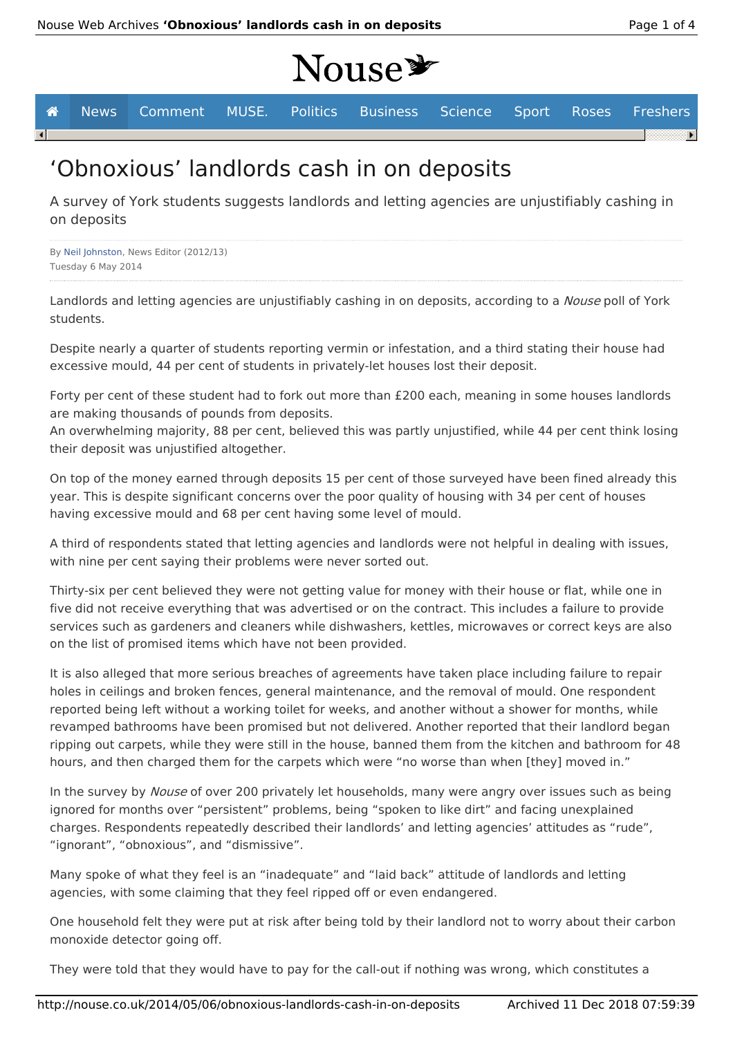# Nouse\*

**A** News Comment MUSE. Politics Business Science Sport Roses Freshers  $\lceil \cdot \rceil$ 

## 'Obnoxious' landlords cash in on deposits

A survey of York students suggests landlords and letting agencies are unjustifiably cashing in on deposits

By Neil Johnston, News Editor (2012/13) Tuesday 6 May 2014

Landlords and letting agencies are unjustifiably cashing in on deposits, according to a Nouse poll of York students.

Despite nearly a quarter of students reporting vermin or infestation, and a third stating their house had excessive mould, 44 per cent of students in privately-let houses lost their deposit.

Forty per cent of these student had to fork out more than £200 each, meaning in some houses landlords are making thousands of pounds from deposits.

An overwhelming majority, 88 per cent, believed this was partly unjustified, while 44 per cent think losing their deposit was unjustified altogether.

On top of the money earned through deposits 15 per cent of those surveyed have been fined already this year. This is despite significant concerns over the poor quality of housing with 34 per cent of houses having excessive mould and 68 per cent having some level of mould.

A third of respondents stated that letting agencies and landlords were not helpful in dealing with issues, with nine per cent saying their problems were never sorted out.

Thirty-six per cent believed they were not getting value for money with their house or flat, while one in five did not receive everything that was advertised or on the contract. This includes a failure to provide services such as gardeners and cleaners while dishwashers, kettles, microwaves or correct keys are also on the list of promised items which have not been provided.

It is also alleged that more serious breaches of agreements have taken place including failure to repair holes in ceilings and broken fences, general maintenance, and the removal of mould. One respondent reported being left without a working toilet for weeks, and another without a shower for months, while revamped bathrooms have been promised but not delivered. Another reported that their landlord began ripping out carpets, while they were still in the house, banned them from the kitchen and bathroom for 48 hours, and then charged them for the carpets which were "no worse than when [they] moved in."

In the survey by Nouse of over 200 privately let households, many were angry over issues such as being ignored for months over "persistent" problems, being "spoken to like dirt" and facing unexplained charges. Respondents repeatedly described their landlords' and letting agencies' attitudes as "rude", "ignorant", "obnoxious", and "dismissive".

Many spoke of what they feel is an "inadequate" and "laid back" attitude of landlords and letting agencies, with some claiming that they feel ripped off or even endangered.

One household felt they were put at risk after being told by their landlord not to worry about their carbon monoxide detector going off.

They were told that they would have to pay for the call-out if nothing was wrong, which constitutes a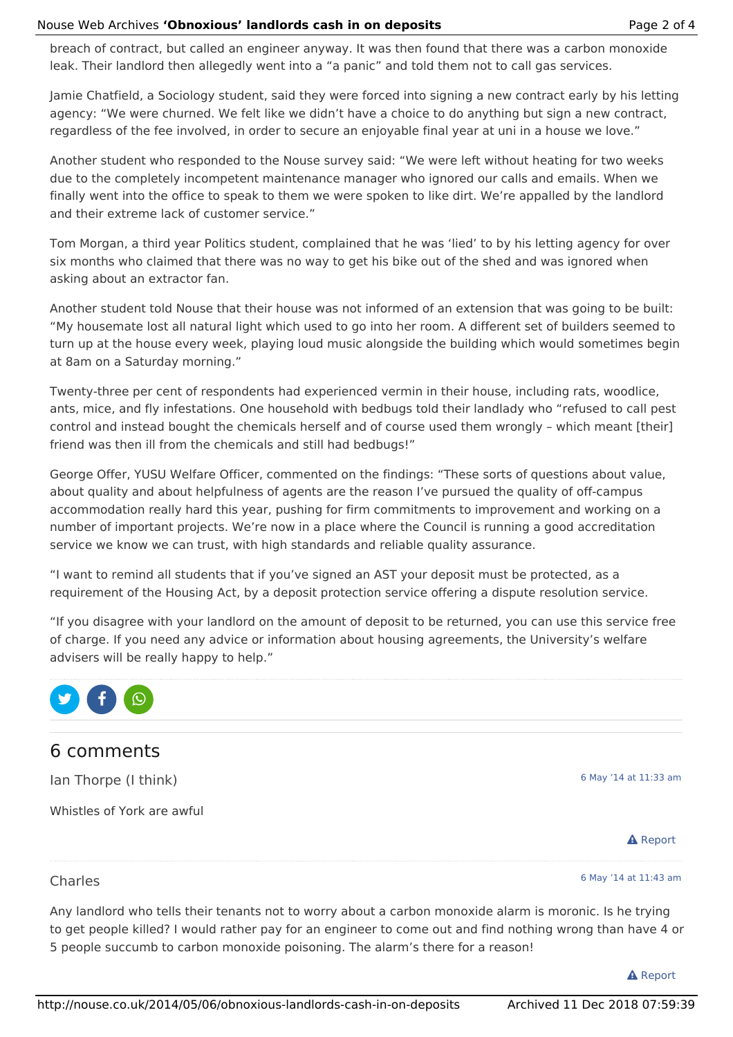breach of contract, but called an engineer anyway. It was then found that there was a carbon monoxide leak. Their landlord then allegedly went into a "a panic" and told them not to call gas services.

Jamie Chatfield, a Sociology student, said they were forced into signing a new contract early by his letting agency: "We were churned. We felt like we didn't have a choice to do anything but sign a new contract, regardless of the fee involved, in order to secure an enjoyable final year at uni in a house we love."

Another student who responded to the Nouse survey said: "We were left without heating for two weeks due to the completely incompetent maintenance manager who ignored our calls and emails. When we finally went into the office to speak to them we were spoken to like dirt. We're appalled by the landlord and their extreme lack of customer service."

Tom Morgan, a third year Politics student, complained that he was 'lied' to by his letting agency for over six months who claimed that there was no way to get his bike out of the shed and was ignored when asking about an extractor fan.

Another student told Nouse that their house was not informed of an extension that was going to be built: "My housemate lost all natural light which used to go into her room. A different set of builders seemed to turn up at the house every week, playing loud music alongside the building which would sometimes begin at 8am on a Saturday morning."

Twenty-three per cent of respondents had experienced vermin in their house, including rats, woodlice, ants, mice, and fly infestations. One household with bedbugs told their landlady who "refused to call pest control and instead bought the chemicals herself and of course used them wrongly – which meant [their] friend was then ill from the chemicals and still had bedbugs!"

George Offer, YUSU Welfare Officer, commented on the findings: "These sorts of questions about value, about quality and about helpfulness of agents are the reason I've pursued the quality of off-campus accommodation really hard this year, pushing for firm commitments to improvement and working on a number of important projects. We're now in a place where the Council is running a good accreditation service we know we can trust, with high standards and reliable quality assurance.

"I want to remind all students that if you've signed an AST your deposit must be protected, as a requirement of the Housing Act, by a deposit protection service offering a dispute resolution service.

"If you disagree with your landlord on the amount of deposit to be returned, you can use this service free of charge. If you need any advice or information about housing agreements, the University's welfare advisers will be really happy to help."



### 6 comments

Ian Thorpe (I think)

Whistles of York are awful

6 May '14 at 11:33 am



#### Charles

6 May '14 at 11:43 am

Any landlord who tells their tenants not to worry about a carbon monoxide alarm is moronic. Is he trying to get people killed? I would rather pay for an engineer to come out and find nothing wrong than have 4 or 5 people succumb to carbon monoxide poisoning. The alarm's there for a reason!

**A** Report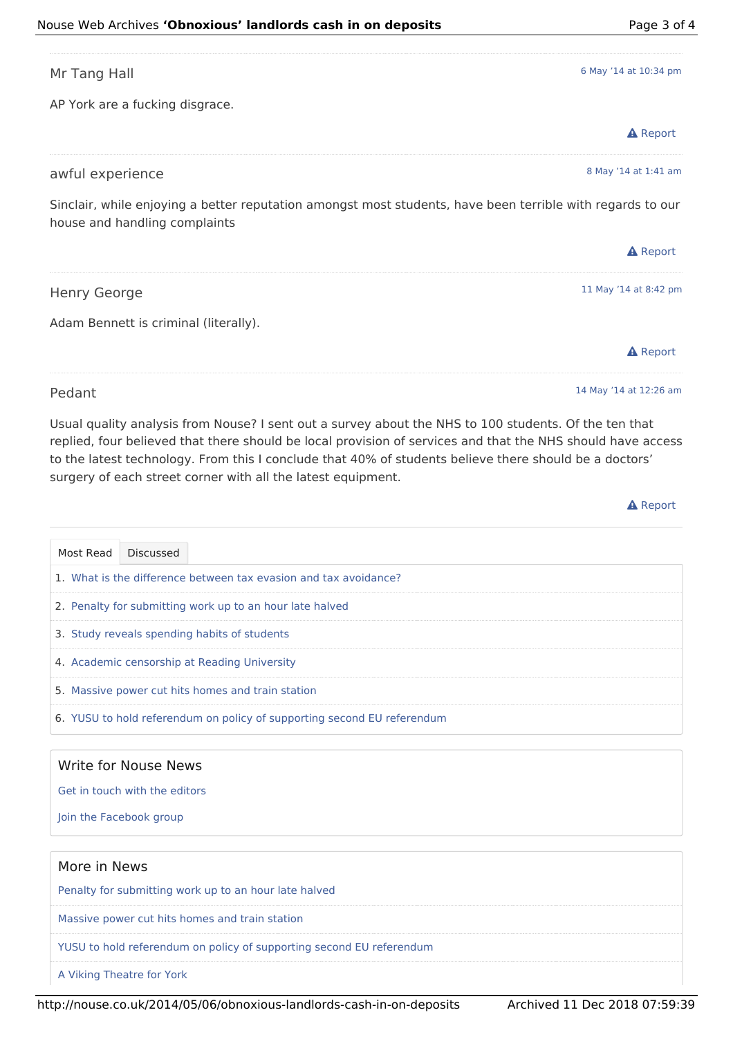**A** Report

| Mr Tang Hall                                                                                                                                | 6 May '14 at 10:34 pm |
|---------------------------------------------------------------------------------------------------------------------------------------------|-----------------------|
| AP York are a fucking disgrace.                                                                                                             |                       |
|                                                                                                                                             | <b>A</b> Report       |
| awful experience                                                                                                                            | 8 May '14 at 1:41 am  |
| Sinclair, while enjoying a better reputation amongst most students, have been terrible with regards to our<br>house and handling complaints |                       |
|                                                                                                                                             | <b>A</b> Report       |
| <b>Henry George</b>                                                                                                                         | 11 May '14 at 8:42 pm |
|                                                                                                                                             |                       |
| Adam Bennett is criminal (literally).                                                                                                       |                       |
|                                                                                                                                             | <b>A</b> Report       |

Usual quality analysis from Nouse? I sent out a survey about the NHS to 100 students. Of the ten that replied, four believed that there should be local provision of services and that the NHS should have access to the latest technology. From this I conclude that 40% of students believe there should be a doctors' surgery of each street corner with all the latest equipment.

| Most Read | Discussed                                                               |
|-----------|-------------------------------------------------------------------------|
|           | 1. What is the difference between tax evasion and tax avoidance?        |
|           | 2. Penalty for submitting work up to an hour late halved                |
|           | 3. Study reveals spending habits of students                            |
|           | 4. Academic censorship at Reading University                            |
|           | 5. Massive power cut hits homes and train station                       |
|           | 6. YUSU to hold referendum on policy of supporting second EU referendum |
|           |                                                                         |

#### Write for Nouse News

Get in touch with the editors

Join the Facebook group

#### More in News

Penalty for submitting work up to an hour late halved

Massive power cut hits homes and train station

YUSU to hold referendum on policy of supporting second EU referendum

A Viking Theatre for York